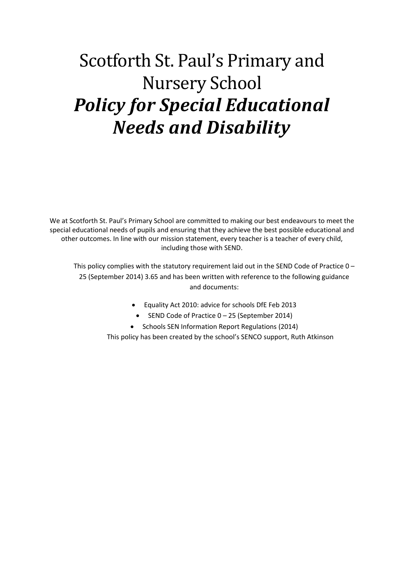# Scotforth St. Paul's Primary and Nursery School *Policy for Special Educational Needs and Disability*

We at Scotforth St. Paul's Primary School are committed to making our best endeavours to meet the special educational needs of pupils and ensuring that they achieve the best possible educational and other outcomes. In line with our mission statement, every teacher is a teacher of every child, including those with SEND.

This policy complies with the statutory requirement laid out in the SEND Code of Practice 0 – 25 (September 2014) 3.65 and has been written with reference to the following guidance and documents:

- Equality Act 2010: advice for schools DfE Feb 2013
	- SEND Code of Practice 0 25 (September 2014)
- Schools SEN Information Report Regulations (2014)

This policy has been created by the school's SENCO support, Ruth Atkinson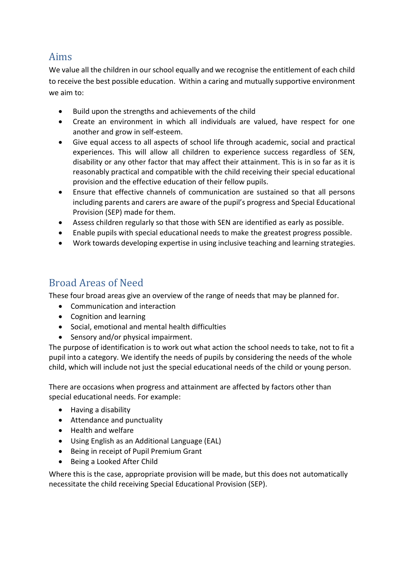## Aims

We value all the children in our school equally and we recognise the entitlement of each child to receive the best possible education. Within a caring and mutually supportive environment we aim to:

- Build upon the strengths and achievements of the child
- Create an environment in which all individuals are valued, have respect for one another and grow in self-esteem.
- Give equal access to all aspects of school life through academic, social and practical experiences. This will allow all children to experience success regardless of SEN, disability or any other factor that may affect their attainment. This is in so far as it is reasonably practical and compatible with the child receiving their special educational provision and the effective education of their fellow pupils.
- Ensure that effective channels of communication are sustained so that all persons including parents and carers are aware of the pupil's progress and Special Educational Provision (SEP) made for them.
- Assess children regularly so that those with SEN are identified as early as possible.
- Enable pupils with special educational needs to make the greatest progress possible.
- Work towards developing expertise in using inclusive teaching and learning strategies.

# Broad Areas of Need

These four broad areas give an overview of the range of needs that may be planned for.

- Communication and interaction
- Cognition and learning
- Social, emotional and mental health difficulties
- Sensory and/or physical impairment.

The purpose of identification is to work out what action the school needs to take, not to fit a pupil into a category. We identify the needs of pupils by considering the needs of the whole child, which will include not just the special educational needs of the child or young person.

There are occasions when progress and attainment are affected by factors other than special educational needs. For example:

- Having a disability
- Attendance and punctuality
- Health and welfare
- Using English as an Additional Language (EAL)
- Being in receipt of Pupil Premium Grant
- Being a Looked After Child

Where this is the case, appropriate provision will be made, but this does not automatically necessitate the child receiving Special Educational Provision (SEP).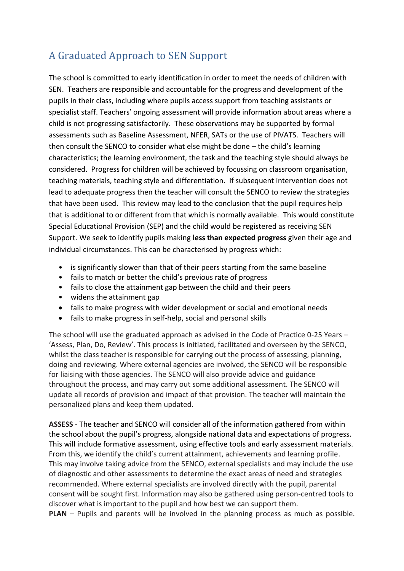# A Graduated Approach to SEN Support

The school is committed to early identification in order to meet the needs of children with SEN. Teachers are responsible and accountable for the progress and development of the pupils in their class, including where pupils access support from teaching assistants or specialist staff. Teachers' ongoing assessment will provide information about areas where a child is not progressing satisfactorily. These observations may be supported by formal assessments such as Baseline Assessment, NFER, SATs or the use of PIVATS. Teachers will then consult the SENCO to consider what else might be done – the child's learning characteristics; the learning environment, the task and the teaching style should always be considered. Progress for children will be achieved by focussing on classroom organisation, teaching materials, teaching style and differentiation. If subsequent intervention does not lead to adequate progress then the teacher will consult the SENCO to review the strategies that have been used. This review may lead to the conclusion that the pupil requires help that is additional to or different from that which is normally available. This would constitute Special Educational Provision (SEP) and the child would be registered as receiving SEN Support. We seek to identify pupils making **less than expected progress** given their age and individual circumstances. This can be characterised by progress which:

- is significantly slower than that of their peers starting from the same baseline
- fails to match or better the child's previous rate of progress
- fails to close the attainment gap between the child and their peers
- widens the attainment gap
- fails to make progress with wider development or social and emotional needs
- fails to make progress in self-help, social and personal skills

The school will use the graduated approach as advised in the Code of Practice 0-25 Years – 'Assess, Plan, Do, Review'. This process is initiated, facilitated and overseen by the SENCO, whilst the class teacher is responsible for carrying out the process of assessing, planning, doing and reviewing. Where external agencies are involved, the SENCO will be responsible for liaising with those agencies. The SENCO will also provide advice and guidance throughout the process, and may carry out some additional assessment. The SENCO will update all records of provision and impact of that provision. The teacher will maintain the personalized plans and keep them updated.

**ASSESS** - The teacher and SENCO will consider all of the information gathered from within the school about the pupil's progress, alongside national data and expectations of progress. This will include formative assessment, using effective tools and early assessment materials. From this, we identify the child's current attainment, achievements and learning profile. This may involve taking advice from the SENCO, external specialists and may include the use of diagnostic and other assessments to determine the exact areas of need and strategies recommended. Where external specialists are involved directly with the pupil, parental consent will be sought first. Information may also be gathered using person-centred tools to discover what is important to the pupil and how best we can support them.

**PLAN** – Pupils and parents will be involved in the planning process as much as possible.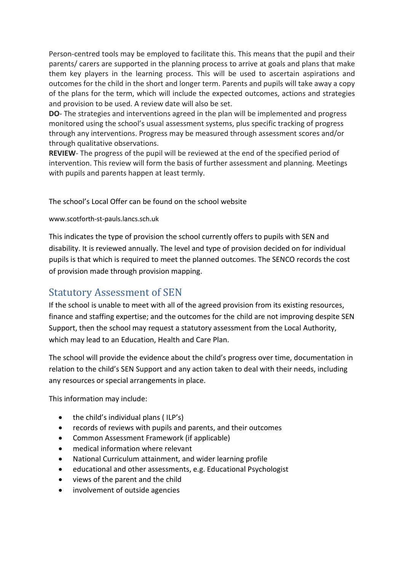Person-centred tools may be employed to facilitate this. This means that the pupil and their parents/ carers are supported in the planning process to arrive at goals and plans that make them key players in the learning process. This will be used to ascertain aspirations and outcomes for the child in the short and longer term. Parents and pupils will take away a copy of the plans for the term, which will include the expected outcomes, actions and strategies and provision to be used. A review date will also be set.

**DO**- The strategies and interventions agreed in the plan will be implemented and progress monitored using the school's usual assessment systems, plus specific tracking of progress through any interventions. Progress may be measured through assessment scores and/or through qualitative observations.

**REVIEW**- The progress of the pupil will be reviewed at the end of the specified period of intervention. This review will form the basis of further assessment and planning. Meetings with pupils and parents happen at least termly.

The school's Local Offer can be found on the school website

#### www.scotforth-st-pauls.lancs.sch.uk

This indicates the type of provision the school currently offers to pupils with SEN and disability. It is reviewed annually. The level and type of provision decided on for individual pupils is that which is required to meet the planned outcomes. The SENCO records the cost of provision made through provision mapping.

## Statutory Assessment of SEN

If the school is unable to meet with all of the agreed provision from its existing resources, finance and staffing expertise; and the outcomes for the child are not improving despite SEN Support, then the school may request a statutory assessment from the Local Authority, which may lead to an Education, Health and Care Plan.

The school will provide the evidence about the child's progress over time, documentation in relation to the child's SEN Support and any action taken to deal with their needs, including any resources or special arrangements in place.

This information may include:

- $\bullet$  the child's individual plans (ILP's)
- records of reviews with pupils and parents, and their outcomes
- Common Assessment Framework (if applicable)
- medical information where relevant
- National Curriculum attainment, and wider learning profile
- educational and other assessments, e.g. Educational Psychologist
- views of the parent and the child
- involvement of outside agencies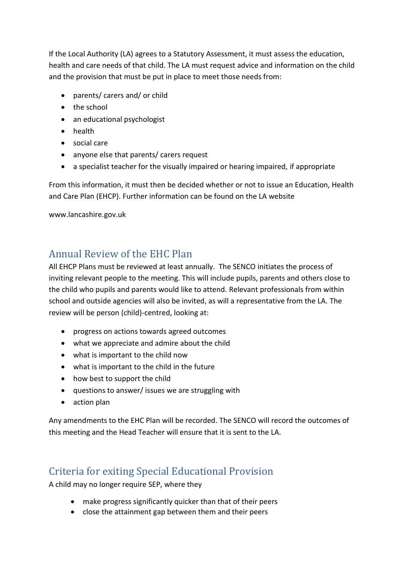If the Local Authority (LA) agrees to a Statutory Assessment, it must assess the education, health and care needs of that child. The LA must request advice and information on the child and the provision that must be put in place to meet those needs from:

- parents/ carers and/ or child
- the school
- an educational psychologist
- health
- social care
- anyone else that parents/ carers request
- a specialist teacher for the visually impaired or hearing impaired, if appropriate

From this information, it must then be decided whether or not to issue an Education, Health and Care Plan (EHCP). Further information can be found on the LA website

www.lancashire.gov.uk

# Annual Review of the EHC Plan

All EHCP Plans must be reviewed at least annually. The SENCO initiates the process of inviting relevant people to the meeting. This will include pupils, parents and others close to the child who pupils and parents would like to attend. Relevant professionals from within school and outside agencies will also be invited, as will a representative from the LA. The review will be person (child)-centred, looking at:

- progress on actions towards agreed outcomes
- what we appreciate and admire about the child
- what is important to the child now
- what is important to the child in the future
- how best to support the child
- questions to answer/ issues we are struggling with
- action plan

Any amendments to the EHC Plan will be recorded. The SENCO will record the outcomes of this meeting and the Head Teacher will ensure that it is sent to the LA.

# Criteria for exiting Special Educational Provision

A child may no longer require SEP, where they

- make progress significantly quicker than that of their peers
- close the attainment gap between them and their peers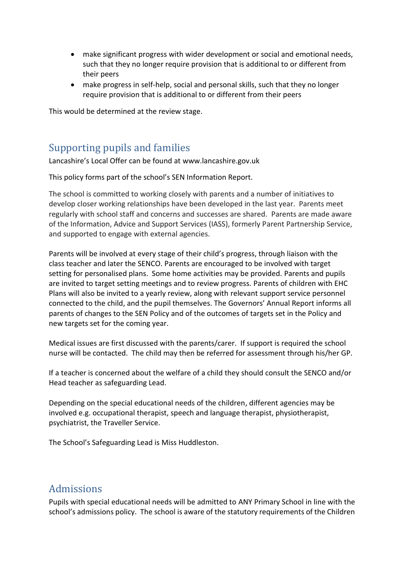- make significant progress with wider development or social and emotional needs, such that they no longer require provision that is additional to or different from their peers
- make progress in self-help, social and personal skills, such that they no longer require provision that is additional to or different from their peers

This would be determined at the review stage.

## Supporting pupils and families

Lancashire's Local Offer can be found at www.lancashire.gov.uk

This policy forms part of the school's SEN Information Report.

The school is committed to working closely with parents and a number of initiatives to develop closer working relationships have been developed in the last year. Parents meet regularly with school staff and concerns and successes are shared. Parents are made aware of the Information, Advice and Support Services (IASS), formerly Parent Partnership Service, and supported to engage with external agencies.

Parents will be involved at every stage of their child's progress, through liaison with the class teacher and later the SENCO. Parents are encouraged to be involved with target setting for personalised plans. Some home activities may be provided. Parents and pupils are invited to target setting meetings and to review progress. Parents of children with EHC Plans will also be invited to a yearly review, along with relevant support service personnel connected to the child, and the pupil themselves. The Governors' Annual Report informs all parents of changes to the SEN Policy and of the outcomes of targets set in the Policy and new targets set for the coming year.

Medical issues are first discussed with the parents/carer. If support is required the school nurse will be contacted. The child may then be referred for assessment through his/her GP.

If a teacher is concerned about the welfare of a child they should consult the SENCO and/or Head teacher as safeguarding Lead.

Depending on the special educational needs of the children, different agencies may be involved e.g. occupational therapist, speech and language therapist, physiotherapist, psychiatrist, the Traveller Service.

The School's Safeguarding Lead is Miss Huddleston.

## Admissions

Pupils with special educational needs will be admitted to ANY Primary School in line with the school's admissions policy. The school is aware of the statutory requirements of the Children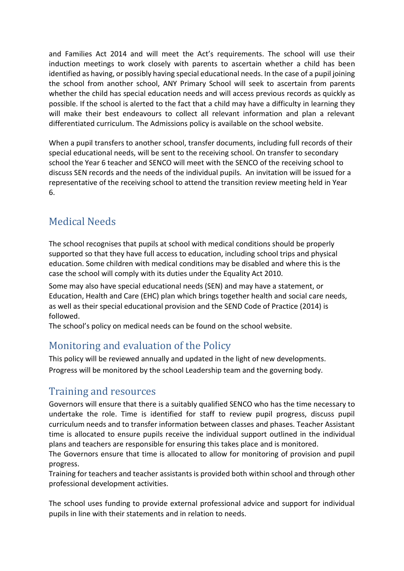and Families Act 2014 and will meet the Act's requirements. The school will use their induction meetings to work closely with parents to ascertain whether a child has been identified as having, or possibly having special educational needs. In the case of a pupil joining the school from another school, ANY Primary School will seek to ascertain from parents whether the child has special education needs and will access previous records as quickly as possible. If the school is alerted to the fact that a child may have a difficulty in learning they will make their best endeavours to collect all relevant information and plan a relevant differentiated curriculum. The Admissions policy is available on the school website.

When a pupil transfers to another school, transfer documents, including full records of their special educational needs, will be sent to the receiving school. On transfer to secondary school the Year 6 teacher and SENCO will meet with the SENCO of the receiving school to discuss SEN records and the needs of the individual pupils. An invitation will be issued for a representative of the receiving school to attend the transition review meeting held in Year 6.

# Medical Needs

The school recognises that pupils at school with medical conditions should be properly supported so that they have full access to education, including school trips and physical education. Some children with medical conditions may be disabled and where this is the case the school will comply with its duties under the Equality Act 2010.

Some may also have special educational needs (SEN) and may have a statement, or Education, Health and Care (EHC) plan which brings together health and social care needs, as well as their special educational provision and the SEND Code of Practice (2014) is followed.

The school's policy on medical needs can be found on the school website.

# Monitoring and evaluation of the Policy

This policy will be reviewed annually and updated in the light of new developments. Progress will be monitored by the school Leadership team and the governing body.

## Training and resources

Governors will ensure that there is a suitably qualified SENCO who has the time necessary to undertake the role. Time is identified for staff to review pupil progress, discuss pupil curriculum needs and to transfer information between classes and phases. Teacher Assistant time is allocated to ensure pupils receive the individual support outlined in the individual plans and teachers are responsible for ensuring this takes place and is monitored.

The Governors ensure that time is allocated to allow for monitoring of provision and pupil progress.

Training for teachers and teacher assistants is provided both within school and through other professional development activities.

The school uses funding to provide external professional advice and support for individual pupils in line with their statements and in relation to needs.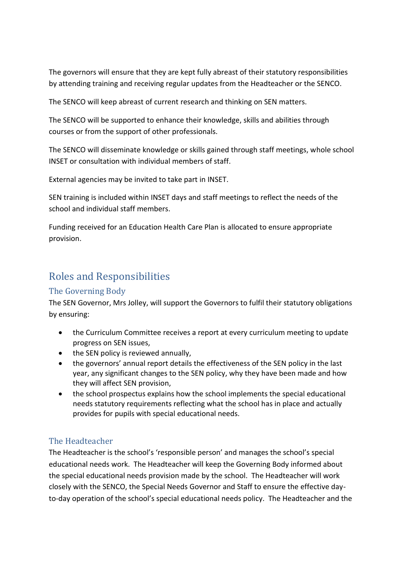The governors will ensure that they are kept fully abreast of their statutory responsibilities by attending training and receiving regular updates from the Headteacher or the SENCO.

The SENCO will keep abreast of current research and thinking on SEN matters.

The SENCO will be supported to enhance their knowledge, skills and abilities through courses or from the support of other professionals.

The SENCO will disseminate knowledge or skills gained through staff meetings, whole school INSET or consultation with individual members of staff.

External agencies may be invited to take part in INSET.

SEN training is included within INSET days and staff meetings to reflect the needs of the school and individual staff members.

Funding received for an Education Health Care Plan is allocated to ensure appropriate provision.

# Roles and Responsibilities

#### The Governing Body

The SEN Governor, Mrs Jolley, will support the Governors to fulfil their statutory obligations by ensuring:

- the Curriculum Committee receives a report at every curriculum meeting to update progress on SEN issues,
- the SEN policy is reviewed annually,
- the governors' annual report details the effectiveness of the SEN policy in the last year, any significant changes to the SEN policy, why they have been made and how they will affect SEN provision,
- the school prospectus explains how the school implements the special educational needs statutory requirements reflecting what the school has in place and actually provides for pupils with special educational needs.

#### The Headteacher

The Headteacher is the school's 'responsible person' and manages the school's special educational needs work. The Headteacher will keep the Governing Body informed about the special educational needs provision made by the school. The Headteacher will work closely with the SENCO, the Special Needs Governor and Staff to ensure the effective dayto-day operation of the school's special educational needs policy. The Headteacher and the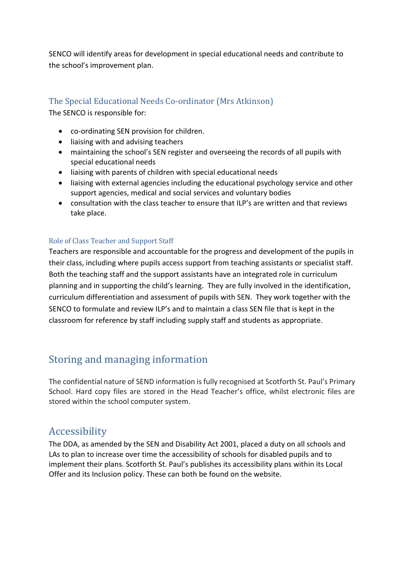SENCO will identify areas for development in special educational needs and contribute to the school's improvement plan.

#### The Special Educational Needs Co-ordinator (Mrs Atkinson)

The SENCO is responsible for:

- co-ordinating SEN provision for children.
- liaising with and advising teachers
- maintaining the school's SEN register and overseeing the records of all pupils with special educational needs
- liaising with parents of children with special educational needs
- liaising with external agencies including the educational psychology service and other support agencies, medical and social services and voluntary bodies
- consultation with the class teacher to ensure that ILP's are written and that reviews take place.

#### Role of Class Teacher and Support Staff

Teachers are responsible and accountable for the progress and development of the pupils in their class, including where pupils access support from teaching assistants or specialist staff. Both the teaching staff and the support assistants have an integrated role in curriculum planning and in supporting the child's learning. They are fully involved in the identification, curriculum differentiation and assessment of pupils with SEN. They work together with the SENCO to formulate and review ILP's and to maintain a class SEN file that is kept in the classroom for reference by staff including supply staff and students as appropriate.

## Storing and managing information

The confidential nature of SEND information is fully recognised at Scotforth St. Paul's Primary School. Hard copy files are stored in the Head Teacher's office, whilst electronic files are stored within the school computer system.

## Accessibility

The DDA, as amended by the SEN and Disability Act 2001, placed a duty on all schools and LAs to plan to increase over time the accessibility of schools for disabled pupils and to implement their plans. Scotforth St. Paul's publishes its accessibility plans within its Local Offer and its Inclusion policy. These can both be found on the website.